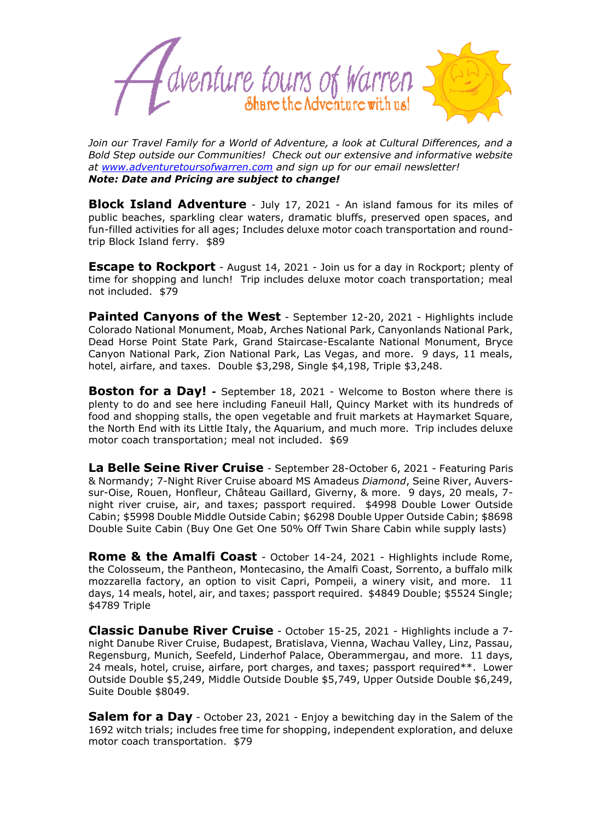

*Join our Travel Family for a World of Adventure, a look at Cultural Differences, and a Bold Step outside our Communities! Check out our extensive and informative website at [www.adventuretoursofwarren.com](http://www.adventuretoursofwarren.com/) and sign up for our email newsletter! Note: Date and Pricing are subject to change!*

**Block Island Adventure** - July 17, 2021 - An island famous for its miles of public beaches, sparkling clear waters, dramatic bluffs, preserved open spaces, and fun-filled activities for all ages; Includes deluxe motor coach transportation and roundtrip Block Island ferry. \$89

**Escape to Rockport** - August 14, 2021 - Join us for a day in Rockport; plenty of time for shopping and lunch! Trip includes deluxe motor coach transportation; meal not included. \$79

**Painted Canyons of the West** - September 12-20, 2021 - Highlights include Colorado National Monument, Moab, Arches National Park, Canyonlands National Park, Dead Horse Point State Park, Grand Staircase-Escalante National Monument, Bryce Canyon National Park, Zion National Park, Las Vegas, and more. 9 days, 11 meals, hotel, airfare, and taxes. Double \$3,298, Single \$4,198, Triple \$3,248.

**Boston for a Day!** - September 18, 2021 - Welcome to Boston where there is plenty to do and see here including Faneuil Hall, Quincy Market with its hundreds of food and shopping stalls, the open vegetable and fruit markets at Haymarket Square, the North End with its Little Italy, the Aquarium, and much more. Trip includes deluxe motor coach transportation; meal not included. \$69

**La Belle Seine River Cruise** - September 28-October 6, 2021 - Featuring Paris & Normandy; 7-Night River Cruise aboard MS Amadeus *Diamond*, Seine River, Auverssur-Oise, Rouen, Honfleur, Château Gaillard, Giverny, & more. 9 days, 20 meals, 7 night river cruise, air, and taxes; passport required. \$4998 Double Lower Outside Cabin; \$5998 Double Middle Outside Cabin; \$6298 Double Upper Outside Cabin; \$8698 Double Suite Cabin (Buy One Get One 50% Off Twin Share Cabin while supply lasts)

**Rome & the Amalfi Coast** - October 14-24, 2021 - Highlights include Rome, the Colosseum, the Pantheon, Montecasino, the Amalfi Coast, Sorrento, a buffalo milk mozzarella factory, an option to visit Capri, Pompeii, a winery visit, and more. 11 days, 14 meals, hotel, air, and taxes; passport required. \$4849 Double; \$5524 Single; \$4789 Triple

**Classic Danube River Cruise** - October 15-25, 2021 - Highlights include a 7 night Danube River Cruise, Budapest, Bratislava, Vienna, Wachau Valley, Linz, Passau, Regensburg, Munich, Seefeld, Linderhof Palace, Oberammergau, and more. 11 days, 24 meals, hotel, cruise, airfare, port charges, and taxes; passport required\*\*. Lower Outside Double \$5,249, Middle Outside Double \$5,749, Upper Outside Double \$6,249, Suite Double \$8049.

**Salem for a Day** - October 23, 2021 - Enjoy a bewitching day in the Salem of the 1692 witch trials; includes free time for shopping, independent exploration, and deluxe motor coach transportation. \$79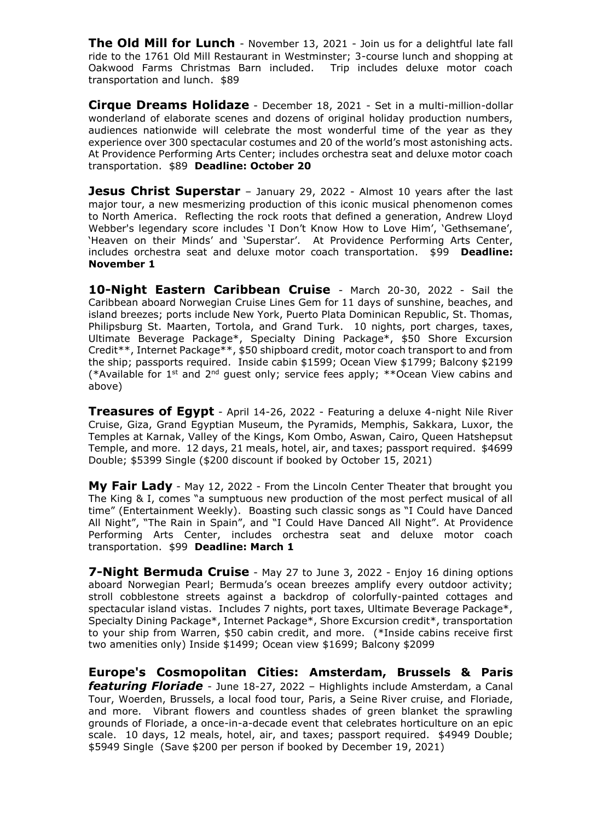**The Old Mill for Lunch** - November 13, 2021 - Join us for a delightful late fall ride to the 1761 Old Mill Restaurant in Westminster; 3-course lunch and shopping at Oakwood Farms Christmas Barn included. Trip includes deluxe motor coach transportation and lunch. \$89

**Cirque Dreams Holidaze** - December 18, 2021 - Set in a multi-million-dollar wonderland of elaborate scenes and dozens of original holiday production numbers, audiences nationwide will celebrate the most wonderful time of the year as they experience over 300 spectacular costumes and 20 of the world's most astonishing acts. At Providence Performing Arts Center; includes orchestra seat and deluxe motor coach transportation. \$89 **Deadline: October 20**

**Jesus Christ Superstar** – January 29, 2022 - Almost 10 years after the last major tour, a new mesmerizing production of this iconic musical phenomenon comes to North America. Reflecting the rock roots that defined a generation, Andrew Lloyd Webber's legendary score includes 'I Don't Know How to Love Him', 'Gethsemane', 'Heaven on their Minds' and 'Superstar'. At Providence Performing Arts Center, includes orchestra seat and deluxe motor coach transportation. \$99 **Deadline: November 1**

**10-Night Eastern Caribbean Cruise** - March 20-30, 2022 - Sail the Caribbean aboard Norwegian Cruise Lines Gem for 11 days of sunshine, beaches, and island breezes; ports include New York, Puerto Plata Dominican Republic, St. Thomas, Philipsburg St. Maarten, Tortola, and Grand Turk. 10 nights, port charges, taxes, Ultimate Beverage Package\*, Specialty Dining Package\*, \$50 Shore Excursion Credit\*\*, Internet Package\*\*, \$50 shipboard credit, motor coach transport to and from the ship; passports required. Inside cabin \$1599; Ocean View \$1799; Balcony \$2199 (\*Available for 1<sup>st</sup> and 2<sup>nd</sup> guest only; service fees apply; \*\*Ocean View cabins and above)

**Treasures of Egypt** - April 14-26, 2022 - Featuring a deluxe 4-night Nile River Cruise, Giza, Grand Egyptian Museum, the Pyramids, Memphis, Sakkara, Luxor, the Temples at Karnak, Valley of the Kings, Kom Ombo, Aswan, Cairo, Queen Hatshepsut Temple, and more. 12 days, 21 meals, hotel, air, and taxes; passport required. \$4699 Double; \$5399 Single (\$200 discount if booked by October 15, 2021)

**My Fair Lady** - May 12, 2022 - From the Lincoln Center Theater that brought you The King & I, comes "a sumptuous new production of the most perfect musical of all time" (Entertainment Weekly). Boasting such classic songs as "I Could have Danced All Night", "The Rain in Spain", and "I Could Have Danced All Night". At Providence Performing Arts Center, includes orchestra seat and deluxe motor coach transportation. \$99 **Deadline: March 1**

**7-Night Bermuda Cruise** - May 27 to June 3, 2022 - Enjoy 16 dining options aboard Norwegian Pearl; Bermuda's ocean breezes amplify every outdoor activity; stroll cobblestone streets against a backdrop of colorfully-painted cottages and spectacular island vistas. Includes 7 nights, port taxes, Ultimate Beverage Package\*, Specialty Dining Package\*, Internet Package\*, Shore Excursion credit\*, transportation to your ship from Warren, \$50 cabin credit, and more. (\*Inside cabins receive first two amenities only) Inside \$1499; Ocean view \$1699; Balcony \$2099

**Europe's Cosmopolitan Cities: Amsterdam, Brussels & Paris**  *featuring Floriade* - June 18-27, 2022 – Highlights include Amsterdam, a Canal Tour, Woerden, Brussels, a local food tour, Paris, a Seine River cruise, and Floriade, and more. Vibrant flowers and countless shades of green blanket the sprawling grounds of Floriade, a once-in-a-decade event that celebrates horticulture on an epic scale. 10 days, 12 meals, hotel, air, and taxes; passport required. \$4949 Double; \$5949 Single (Save \$200 per person if booked by December 19, 2021)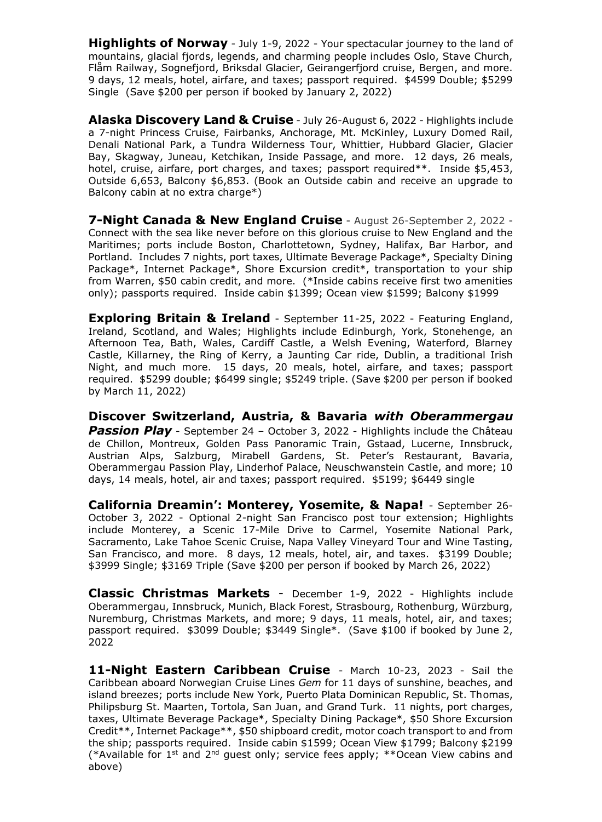**Highlights of Norway** - July 1-9, 2022 - Your spectacular journey to the land of mountains, glacial fjords, legends, and charming people includes Oslo, Stave Church, Flåm Railway, Sognefjord, Briksdal Glacier, Geirangerfjord cruise, Bergen, and more. 9 days, 12 meals, hotel, airfare, and taxes; passport required. \$4599 Double; \$5299 Single (Save \$200 per person if booked by January 2, 2022)

**Alaska Discovery Land & Cruise** - July 26-August 6, 2022 - Highlights include a 7-night Princess Cruise, Fairbanks, Anchorage, Mt. McKinley, Luxury Domed Rail, Denali National Park, a Tundra Wilderness Tour, Whittier, Hubbard Glacier, Glacier Bay, Skagway, Juneau, Ketchikan, Inside Passage, and more. 12 days, 26 meals, hotel, cruise, airfare, port charges, and taxes; passport required\*\*. Inside \$5,453, Outside 6,653, Balcony \$6,853. (Book an Outside cabin and receive an upgrade to Balcony cabin at no extra charge\*)

**7-Night Canada & New England Cruise** - August 26-September 2, 2022 - Connect with the sea like never before on this glorious cruise to New England and the Maritimes; ports include Boston, Charlottetown, Sydney, Halifax, Bar Harbor, and Portland. Includes 7 nights, port taxes, Ultimate Beverage Package\*, Specialty Dining Package\*, Internet Package\*, Shore Excursion credit\*, transportation to your ship from Warren, \$50 cabin credit, and more. (\*Inside cabins receive first two amenities only); passports required. Inside cabin \$1399; Ocean view \$1599; Balcony \$1999

**Exploring Britain & Ireland** - September 11-25, 2022 - Featuring England, Ireland, Scotland, and Wales; Highlights include Edinburgh, York, Stonehenge, an Afternoon Tea, Bath, Wales, Cardiff Castle, a Welsh Evening, Waterford, Blarney Castle, Killarney, the Ring of Kerry, a Jaunting Car ride, Dublin, a traditional Irish Night, and much more. 15 days, 20 meals, hotel, airfare, and taxes; passport required. \$5299 double; \$6499 single; \$5249 triple. (Save \$200 per person if booked by March 11, 2022)

**Discover Switzerland, Austria, & Bavaria** *with Oberammergau*  **Passion Play** - September 24 - October 3, 2022 - Highlights include the Château de Chillon, Montreux, Golden Pass Panoramic Train, Gstaad, Lucerne, Innsbruck, Austrian Alps, Salzburg, Mirabell Gardens, St. Peter's Restaurant, Bavaria, Oberammergau Passion Play, Linderhof Palace, Neuschwanstein Castle, and more; 10 days, 14 meals, hotel, air and taxes; passport required. \$5199; \$6449 single

**California Dreamin': Monterey, Yosemite, & Napa!** - September 26- October 3, 2022 - Optional 2-night San Francisco post tour extension; Highlights include Monterey, a Scenic 17-Mile Drive to Carmel, Yosemite National Park, Sacramento, Lake Tahoe Scenic Cruise, Napa Valley Vineyard Tour and Wine Tasting, San Francisco, and more. 8 days, 12 meals, hotel, air, and taxes. \$3199 Double; \$3999 Single; \$3169 Triple (Save \$200 per person if booked by March 26, 2022)

**Classic Christmas Markets** - December 1-9, 2022 - Highlights include Oberammergau, Innsbruck, Munich, Black Forest, Strasbourg, Rothenburg, Würzburg, Nuremburg, Christmas Markets, and more; 9 days, 11 meals, hotel, air, and taxes; passport required. \$3099 Double; \$3449 Single\*. (Save \$100 if booked by June 2, 2022

**11-Night Eastern Caribbean Cruise** - March 10-23, 2023 - Sail the Caribbean aboard Norwegian Cruise Lines *Gem* for 11 days of sunshine, beaches, and island breezes; ports include New York, Puerto Plata Dominican Republic, St. Thomas, Philipsburg St. Maarten, Tortola, San Juan, and Grand Turk. 11 nights, port charges, taxes, Ultimate Beverage Package\*, Specialty Dining Package\*, \$50 Shore Excursion Credit\*\*, Internet Package\*\*, \$50 shipboard credit, motor coach transport to and from the ship; passports required. Inside cabin \$1599; Ocean View \$1799; Balcony \$2199 (\*Available for  $1^{st}$  and  $2^{nd}$  guest only; service fees apply; \*\*Ocean View cabins and above)